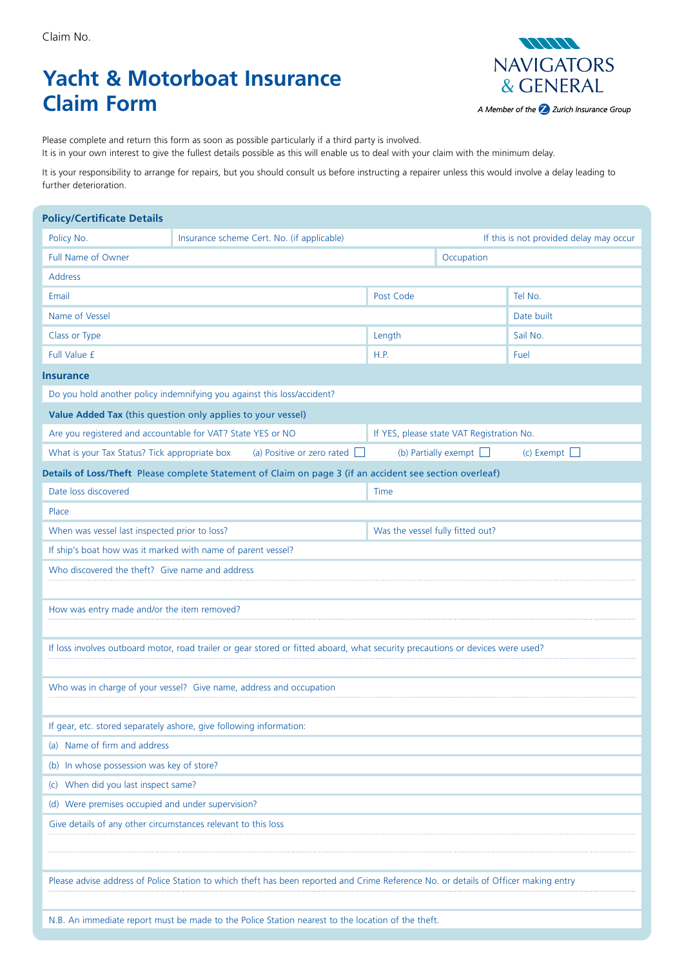# **Yacht & Motorboat Insurance Claim Form**



Please complete and return this form as soon as possible particularly if a third party is involved. It is in your own interest to give the fullest details possible as this will enable us to deal with your claim with the minimum delay.

It is your responsibility to arrange for repairs, but you should consult us before instructing a repairer unless this would involve a delay leading to further deterioration.

| <b>Policy/Certificate Details</b>                                                                        |                                                             |                                                                                                                                     |                                  |                                           |                   |  |  |  |  |
|----------------------------------------------------------------------------------------------------------|-------------------------------------------------------------|-------------------------------------------------------------------------------------------------------------------------------------|----------------------------------|-------------------------------------------|-------------------|--|--|--|--|
| Policy No.<br>Insurance scheme Cert. No. (if applicable)                                                 |                                                             |                                                                                                                                     |                                  | If this is not provided delay may occur   |                   |  |  |  |  |
| Full Name of Owner                                                                                       |                                                             |                                                                                                                                     | Occupation                       |                                           |                   |  |  |  |  |
| <b>Address</b>                                                                                           |                                                             |                                                                                                                                     |                                  |                                           |                   |  |  |  |  |
| Email                                                                                                    |                                                             |                                                                                                                                     |                                  |                                           | Tel No.           |  |  |  |  |
| Name of Vessel                                                                                           |                                                             |                                                                                                                                     |                                  |                                           | Date built        |  |  |  |  |
| Class or Type                                                                                            |                                                             |                                                                                                                                     |                                  |                                           | Sail No.          |  |  |  |  |
| Full Value £                                                                                             |                                                             |                                                                                                                                     | H.P.                             |                                           | Fuel              |  |  |  |  |
| <b>Insurance</b>                                                                                         |                                                             |                                                                                                                                     |                                  |                                           |                   |  |  |  |  |
| Do you hold another policy indemnifying you against this loss/accident?                                  |                                                             |                                                                                                                                     |                                  |                                           |                   |  |  |  |  |
| Value Added Tax (this question only applies to your vessel)                                              |                                                             |                                                                                                                                     |                                  |                                           |                   |  |  |  |  |
|                                                                                                          | Are you registered and accountable for VAT? State YES or NO |                                                                                                                                     |                                  | If YES, please state VAT Registration No. |                   |  |  |  |  |
| What is your Tax Status? Tick appropriate box                                                            |                                                             | (a) Positive or zero rated $\Box$                                                                                                   |                                  | (b) Partially exempt $\Box$               | (c) Exempt $\Box$ |  |  |  |  |
| Details of Loss/Theft Please complete Statement of Claim on page 3 (if an accident see section overleaf) |                                                             |                                                                                                                                     |                                  |                                           |                   |  |  |  |  |
| Date loss discovered                                                                                     |                                                             |                                                                                                                                     | Time                             |                                           |                   |  |  |  |  |
| Place                                                                                                    |                                                             |                                                                                                                                     |                                  |                                           |                   |  |  |  |  |
| When was vessel last inspected prior to loss?                                                            |                                                             |                                                                                                                                     | Was the vessel fully fitted out? |                                           |                   |  |  |  |  |
| If ship's boat how was it marked with name of parent vessel?                                             |                                                             |                                                                                                                                     |                                  |                                           |                   |  |  |  |  |
| Who discovered the theft? Give name and address                                                          |                                                             |                                                                                                                                     |                                  |                                           |                   |  |  |  |  |
|                                                                                                          |                                                             |                                                                                                                                     |                                  |                                           |                   |  |  |  |  |
| How was entry made and/or the item removed?                                                              |                                                             |                                                                                                                                     |                                  |                                           |                   |  |  |  |  |
|                                                                                                          |                                                             |                                                                                                                                     |                                  |                                           |                   |  |  |  |  |
|                                                                                                          |                                                             | If loss involves outboard motor, road trailer or gear stored or fitted aboard, what security precautions or devices were used?      |                                  |                                           |                   |  |  |  |  |
|                                                                                                          |                                                             |                                                                                                                                     |                                  |                                           |                   |  |  |  |  |
| Who was in charge of your vessel? Give name, address and occupation                                      |                                                             |                                                                                                                                     |                                  |                                           |                   |  |  |  |  |
|                                                                                                          |                                                             |                                                                                                                                     |                                  |                                           |                   |  |  |  |  |
| If gear, etc. stored separately ashore, give following information:                                      |                                                             |                                                                                                                                     |                                  |                                           |                   |  |  |  |  |
| (a) Name of firm and address                                                                             |                                                             |                                                                                                                                     |                                  |                                           |                   |  |  |  |  |
| (b) In whose possession was key of store?                                                                |                                                             |                                                                                                                                     |                                  |                                           |                   |  |  |  |  |
| (c) When did you last inspect same?                                                                      |                                                             |                                                                                                                                     |                                  |                                           |                   |  |  |  |  |
| (d) Were premises occupied and under supervision?                                                        |                                                             |                                                                                                                                     |                                  |                                           |                   |  |  |  |  |
| Give details of any other circumstances relevant to this loss                                            |                                                             |                                                                                                                                     |                                  |                                           |                   |  |  |  |  |
|                                                                                                          |                                                             |                                                                                                                                     |                                  |                                           |                   |  |  |  |  |
|                                                                                                          |                                                             |                                                                                                                                     |                                  |                                           |                   |  |  |  |  |
|                                                                                                          |                                                             | Please advise address of Police Station to which theft has been reported and Crime Reference No. or details of Officer making entry |                                  |                                           |                   |  |  |  |  |
|                                                                                                          |                                                             |                                                                                                                                     |                                  |                                           |                   |  |  |  |  |
| N.B. An immediate report must be made to the Police Station nearest to the location of the theft.        |                                                             |                                                                                                                                     |                                  |                                           |                   |  |  |  |  |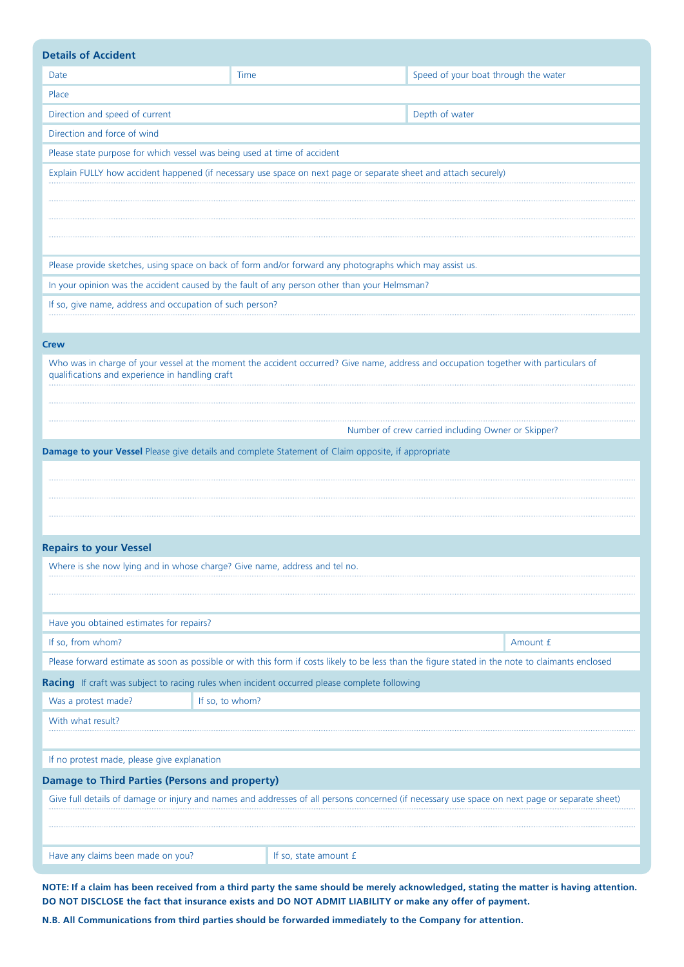| <b>Details of Accident</b>                                                                                                                     |                                                                                                          |                                                                                                                                                   |  |  |  |  |  |  |
|------------------------------------------------------------------------------------------------------------------------------------------------|----------------------------------------------------------------------------------------------------------|---------------------------------------------------------------------------------------------------------------------------------------------------|--|--|--|--|--|--|
| Date                                                                                                                                           | Speed of your boat through the water<br>Time                                                             |                                                                                                                                                   |  |  |  |  |  |  |
| Place                                                                                                                                          |                                                                                                          |                                                                                                                                                   |  |  |  |  |  |  |
| Direction and speed of current<br>Depth of water                                                                                               |                                                                                                          |                                                                                                                                                   |  |  |  |  |  |  |
| Direction and force of wind                                                                                                                    |                                                                                                          |                                                                                                                                                   |  |  |  |  |  |  |
| Please state purpose for which vessel was being used at time of accident                                                                       |                                                                                                          |                                                                                                                                                   |  |  |  |  |  |  |
| Explain FULLY how accident happened (if necessary use space on next page or separate sheet and attach securely)                                |                                                                                                          |                                                                                                                                                   |  |  |  |  |  |  |
|                                                                                                                                                |                                                                                                          |                                                                                                                                                   |  |  |  |  |  |  |
|                                                                                                                                                |                                                                                                          |                                                                                                                                                   |  |  |  |  |  |  |
|                                                                                                                                                |                                                                                                          |                                                                                                                                                   |  |  |  |  |  |  |
|                                                                                                                                                |                                                                                                          |                                                                                                                                                   |  |  |  |  |  |  |
|                                                                                                                                                | Please provide sketches, using space on back of form and/or forward any photographs which may assist us. |                                                                                                                                                   |  |  |  |  |  |  |
|                                                                                                                                                | In your opinion was the accident caused by the fault of any person other than your Helmsman?             |                                                                                                                                                   |  |  |  |  |  |  |
| If so, give name, address and occupation of such person?                                                                                       |                                                                                                          |                                                                                                                                                   |  |  |  |  |  |  |
|                                                                                                                                                |                                                                                                          |                                                                                                                                                   |  |  |  |  |  |  |
| <b>Crew</b>                                                                                                                                    |                                                                                                          |                                                                                                                                                   |  |  |  |  |  |  |
| qualifications and experience in handling craft                                                                                                |                                                                                                          | Who was in charge of your vessel at the moment the accident occurred? Give name, address and occupation together with particulars of              |  |  |  |  |  |  |
|                                                                                                                                                |                                                                                                          |                                                                                                                                                   |  |  |  |  |  |  |
|                                                                                                                                                |                                                                                                          |                                                                                                                                                   |  |  |  |  |  |  |
|                                                                                                                                                |                                                                                                          | Number of crew carried including Owner or Skipper?                                                                                                |  |  |  |  |  |  |
|                                                                                                                                                | Damage to your Vessel Please give details and complete Statement of Claim opposite, if appropriate       |                                                                                                                                                   |  |  |  |  |  |  |
|                                                                                                                                                |                                                                                                          |                                                                                                                                                   |  |  |  |  |  |  |
|                                                                                                                                                |                                                                                                          |                                                                                                                                                   |  |  |  |  |  |  |
|                                                                                                                                                |                                                                                                          |                                                                                                                                                   |  |  |  |  |  |  |
|                                                                                                                                                |                                                                                                          |                                                                                                                                                   |  |  |  |  |  |  |
| <b>Repairs to your Vessel</b>                                                                                                                  |                                                                                                          |                                                                                                                                                   |  |  |  |  |  |  |
| Where is she now lying and in whose charge? Give name, address and tel no.                                                                     |                                                                                                          |                                                                                                                                                   |  |  |  |  |  |  |
|                                                                                                                                                |                                                                                                          |                                                                                                                                                   |  |  |  |  |  |  |
|                                                                                                                                                |                                                                                                          |                                                                                                                                                   |  |  |  |  |  |  |
| Have you obtained estimates for repairs?                                                                                                       |                                                                                                          |                                                                                                                                                   |  |  |  |  |  |  |
| If so, from whom?                                                                                                                              | Amount £                                                                                                 |                                                                                                                                                   |  |  |  |  |  |  |
|                                                                                                                                                |                                                                                                          | Please forward estimate as soon as possible or with this form if costs likely to be less than the figure stated in the note to claimants enclosed |  |  |  |  |  |  |
|                                                                                                                                                | Racing If craft was subject to racing rules when incident occurred please complete following             |                                                                                                                                                   |  |  |  |  |  |  |
| Was a protest made?                                                                                                                            | If so, to whom?                                                                                          |                                                                                                                                                   |  |  |  |  |  |  |
| With what result?                                                                                                                              |                                                                                                          |                                                                                                                                                   |  |  |  |  |  |  |
|                                                                                                                                                |                                                                                                          |                                                                                                                                                   |  |  |  |  |  |  |
| If no protest made, please give explanation                                                                                                    |                                                                                                          |                                                                                                                                                   |  |  |  |  |  |  |
| <b>Damage to Third Parties (Persons and property)</b>                                                                                          |                                                                                                          |                                                                                                                                                   |  |  |  |  |  |  |
| Give full details of damage or injury and names and addresses of all persons concerned (if necessary use space on next page or separate sheet) |                                                                                                          |                                                                                                                                                   |  |  |  |  |  |  |
|                                                                                                                                                |                                                                                                          |                                                                                                                                                   |  |  |  |  |  |  |
|                                                                                                                                                |                                                                                                          |                                                                                                                                                   |  |  |  |  |  |  |
| Have any claims been made on you?                                                                                                              | If so, state amount £                                                                                    |                                                                                                                                                   |  |  |  |  |  |  |

**NOTE: If a claim has been received from a third party the same should be merely acknowledged, stating the matter is having attention. DO NOT DISCLOSE the fact that insurance exists and DO NOT ADMIT LIABILITY or make any offer of payment.**

**N.B. All Communications from third parties should be forwarded immediately to the Company for attention.**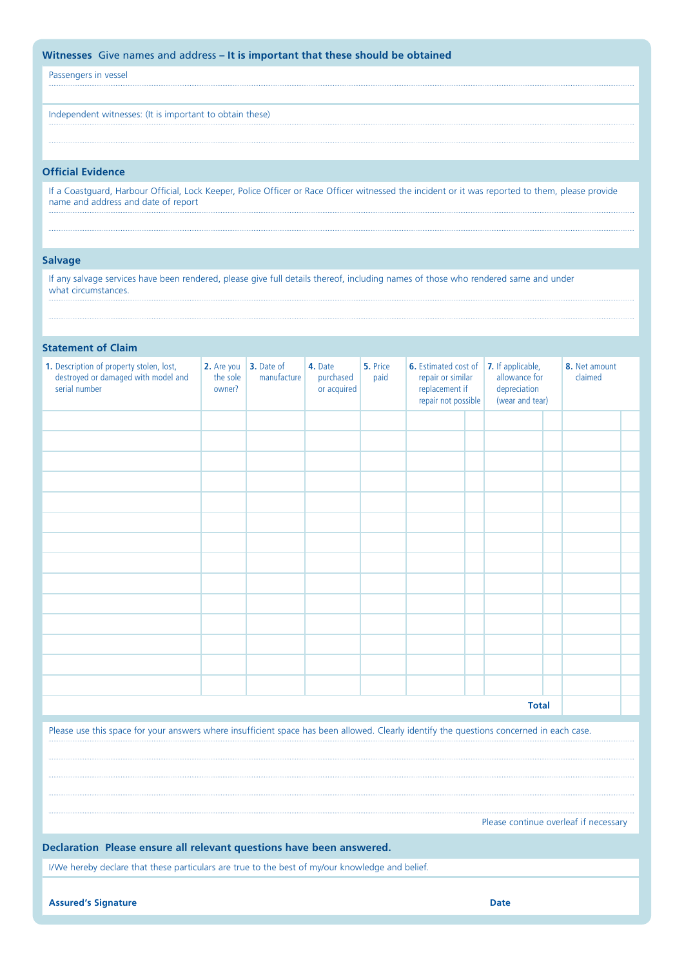# **Witnesses** Give names and address **– It is important that these should be obtained**

Passengers in vessel

Independent witnesses: (It is important to obtain these)

# **Official Evidence**

If a Coastguard, Harbour Official, Lock Keeper, Police Officer or Race Officer witnessed the incident or it was reported to them, please provide name and address and date of report

#### **Salvage**

If any salvage services have been rendered, please give full details thereof, including names of those who rendered same and under what circumstances.

# **Statement of Claim**

| 1. Description of property stolen, lost,<br>destroyed or damaged with model and<br>serial number | 2. Are you<br>the sole<br>owner? | 3. Date of<br>manufacture | 4. Date<br>purchased<br>or acquired | 5. Price<br>paid | 6. Estimated cost of<br>repair or similar<br>replacement if<br>repair not possible |  | 7. If applicable,<br>allowance for<br>depreciation<br>(wear and tear) |  | 8. Net amount<br>claimed |  |
|--------------------------------------------------------------------------------------------------|----------------------------------|---------------------------|-------------------------------------|------------------|------------------------------------------------------------------------------------|--|-----------------------------------------------------------------------|--|--------------------------|--|
|                                                                                                  |                                  |                           |                                     |                  |                                                                                    |  |                                                                       |  |                          |  |
|                                                                                                  |                                  |                           |                                     |                  |                                                                                    |  |                                                                       |  |                          |  |
|                                                                                                  |                                  |                           |                                     |                  |                                                                                    |  |                                                                       |  |                          |  |
|                                                                                                  |                                  |                           |                                     |                  |                                                                                    |  |                                                                       |  |                          |  |
|                                                                                                  |                                  |                           |                                     |                  |                                                                                    |  |                                                                       |  |                          |  |
|                                                                                                  |                                  |                           |                                     |                  |                                                                                    |  |                                                                       |  |                          |  |
|                                                                                                  |                                  |                           |                                     |                  |                                                                                    |  |                                                                       |  |                          |  |
|                                                                                                  |                                  |                           |                                     |                  |                                                                                    |  |                                                                       |  |                          |  |
|                                                                                                  |                                  |                           |                                     |                  |                                                                                    |  |                                                                       |  |                          |  |
|                                                                                                  |                                  |                           |                                     |                  |                                                                                    |  |                                                                       |  |                          |  |
|                                                                                                  |                                  |                           |                                     |                  |                                                                                    |  |                                                                       |  |                          |  |
|                                                                                                  |                                  |                           |                                     |                  |                                                                                    |  |                                                                       |  |                          |  |
|                                                                                                  |                                  |                           |                                     |                  |                                                                                    |  |                                                                       |  |                          |  |
|                                                                                                  |                                  |                           |                                     |                  |                                                                                    |  |                                                                       |  |                          |  |
| <b>Total</b>                                                                                     |                                  |                           |                                     |                  |                                                                                    |  |                                                                       |  |                          |  |

Please use this space for your answers where insufficient space has been allowed. Clearly identify the questions concerned in each case.

Please continue overleaf if necessary

#### **Declaration Please ensure all relevant questions have been answered.**

I/We hereby declare that these particulars are true to the best of my/our knowledge and belief.

**Assured's Signature Date**